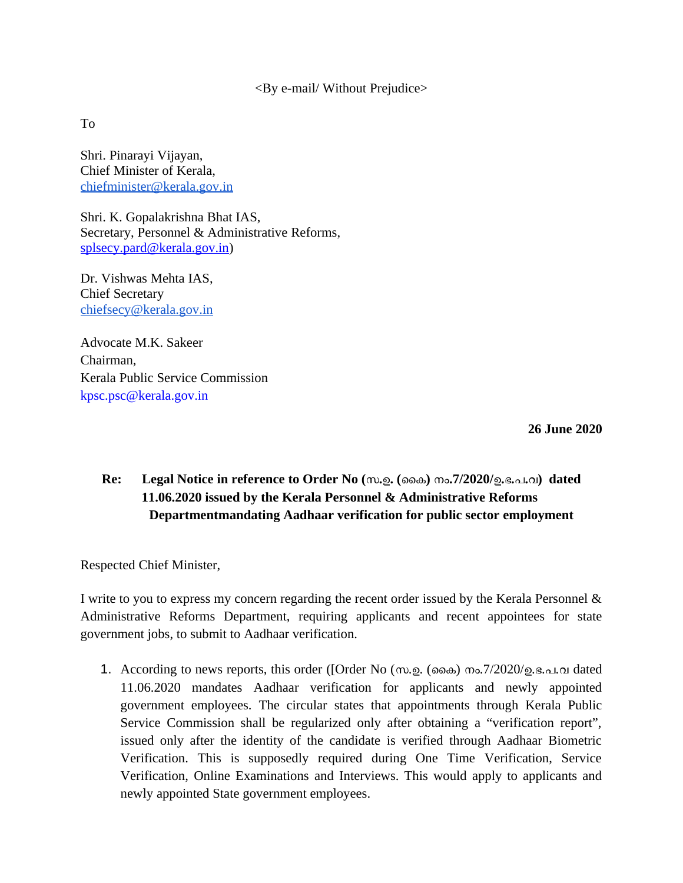<By e-mail/ Without Prejudice>

To

Shri. Pinarayi Vijayan, Chief Minister of Kerala, [chiefminister@kerala.gov.in](mailto:chiefminister@kerala.gov.in)

Shri. K. Gopalakrishna Bhat IAS, Secretary, Personnel & Administrative Reforms, [splsecy.pard@kerala.gov.in\)](mailto:splsecy.pard@kerala.gov.in)

Dr. Vishwas Mehta IAS, Chief Secretary [chiefsecy@kerala.gov.in](mailto:chiefsecy@kerala.gov.in)

Advocate M.K. Sakeer Chairman, Kerala Public Service Commission kpsc.psc@kerala.gov.in

 **26 June 2020**

## **Re: Legal Notice in reference to Order No (**സ**.**ഉ**. (**കൈ**)** നം**.7/2020/**ഉ**.**ഭ**.**പ**.**വ**) dated 11.06.2020 issued by the Kerala Personnel & Administrative Reforms Departmentmandating Aadhaar verification for public sector employment**

Respected Chief Minister,

I write to you to express my concern regarding the recent order issued by the Kerala Personnel & Administrative Reforms Department, requiring applicants and recent appointees for state government jobs, to submit to Aadhaar verification.

1. According to news reports, this order ([Order No (സ.ഉ. (കൈ) നം.7/2020/ഉ.ഭ.പ.വ dated 11.06.2020 mandates Aadhaar verification for applicants and newly appointed government employees. The circular states that appointments through Kerala Public Service Commission shall be regularized only after obtaining a "verification report", issued only after the identity of the candidate is verified through Aadhaar Biometric Verification. This is supposedly required during One Time Verification, Service Verification, Online Examinations and Interviews. This would apply to applicants and newly appointed State government employees.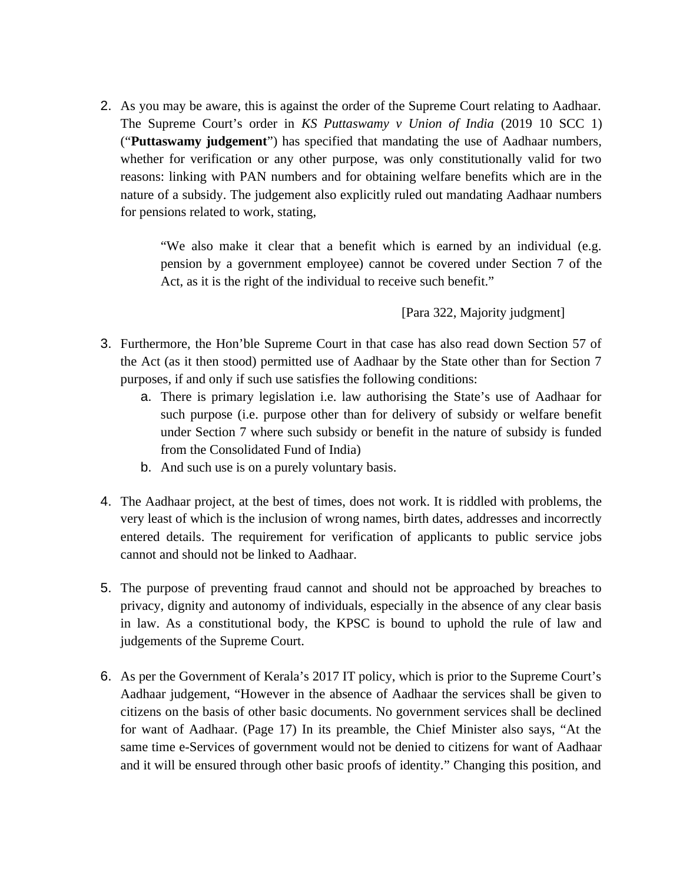2. As you may be aware, this is against the order of the Supreme Court relating to Aadhaar. The Supreme Court's order in *KS Puttaswamy v Union of India* (2019 10 SCC 1) ("**Puttaswamy judgement**") has specified that mandating the use of Aadhaar numbers, whether for verification or any other purpose, was only constitutionally valid for two reasons: linking with PAN numbers and for obtaining welfare benefits which are in the nature of a subsidy. The judgement also explicitly ruled out mandating Aadhaar numbers for pensions related to work, stating,

> "We also make it clear that a benefit which is earned by an individual (e.g. pension by a government employee) cannot be covered under Section 7 of the Act, as it is the right of the individual to receive such benefit."

> > [Para 322, Majority judgment]

- 3. Furthermore, the Hon'ble Supreme Court in that case has also read down Section 57 of the Act (as it then stood) permitted use of Aadhaar by the State other than for Section 7 purposes, if and only if such use satisfies the following conditions:
	- a. There is primary legislation i.e. law authorising the State's use of Aadhaar for such purpose (i.e. purpose other than for delivery of subsidy or welfare benefit under Section 7 where such subsidy or benefit in the nature of subsidy is funded from the Consolidated Fund of India)
	- b. And such use is on a purely voluntary basis.
- 4. The Aadhaar project, at the best of times, does not work. It is riddled with problems, the very least of which is the inclusion of wrong names, birth dates, addresses and incorrectly entered details. The requirement for verification of applicants to public service jobs cannot and should not be linked to Aadhaar.
- 5. The purpose of preventing fraud cannot and should not be approached by breaches to privacy, dignity and autonomy of individuals, especially in the absence of any clear basis in law. As a constitutional body, the KPSC is bound to uphold the rule of law and judgements of the Supreme Court.
- 6. As per the Government of Kerala's 2017 IT policy, which is prior to the Supreme Court's Aadhaar judgement, "However in the absence of Aadhaar the services shall be given to citizens on the basis of other basic documents. No government services shall be declined for want of Aadhaar. (Page 17) In its preamble, the Chief Minister also says, "At the same time e-Services of government would not be denied to citizens for want of Aadhaar and it will be ensured through other basic proofs of identity." Changing this position, and